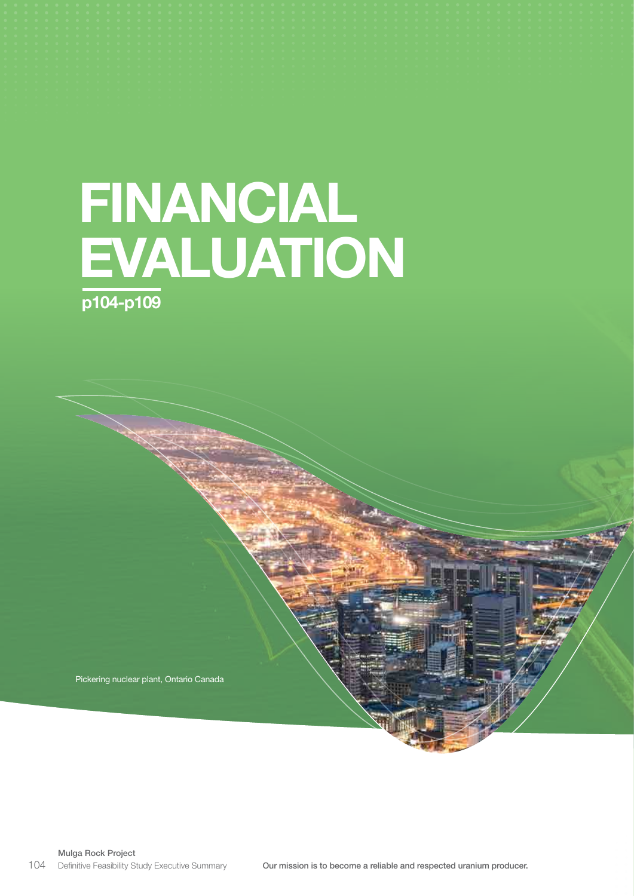# FINANCIAL EVALUATION p104-p109

Pickering nuclear plant, Ontario Canada

Mulga Rock Project Definitive Feasibility Study Executive Summary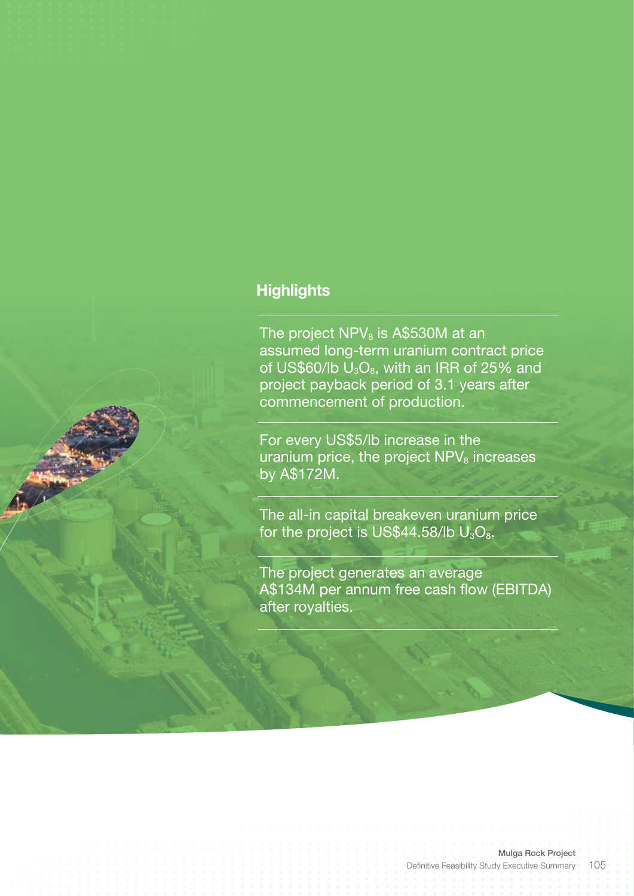# **Highlights**

The project  $NPV_8$  is A\$530M at an assumed long-term uranium contract price of US\$60/lb  $U_3O_8$ , with an IRR of 25% and project payback period of 3.1 years after commencement of production.

For every US\$5/lb increase in the uranium price, the project  $NPV_8$  increases by A\$172M.

The all-in capital breakeven uranium price for the project is US\$44.58/lb  $U_3O_8$ .

The project generates an average A\$134M per annum free cash flow (EBITDA) after royalties.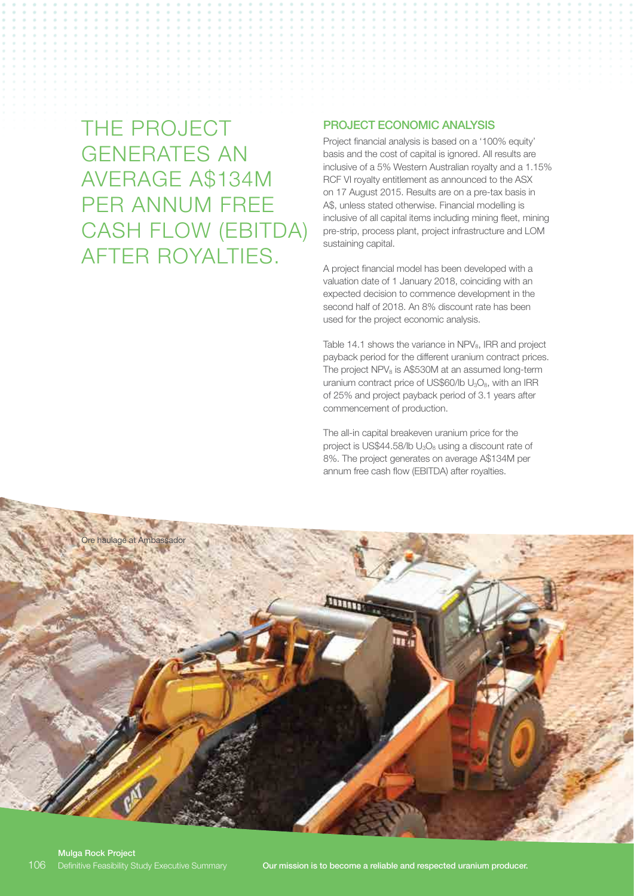THE PROJECT GENERATES AN AVERAGE A\$134M PER ANNUM FREE CASH FLOW (EBITDA) AFTER ROYALTIES.

### PROJECT ECONOMIC ANALYSIS

Project financial analysis is based on a '100% equity' basis and the cost of capital is ignored. All results are inclusive of a 5% Western Australian royalty and a 1.15% RCF VI royalty entitlement as announced to the ASX on 17 August 2015. Results are on a pre-tax basis in A\$, unless stated otherwise. Financial modelling is inclusive of all capital items including mining fleet, mining pre-strip, process plant, project infrastructure and LOM sustaining capital.

A project financial model has been developed with a valuation date of 1 January 2018, coinciding with an expected decision to commence development in the second half of 2018. An 8% discount rate has been used for the project economic analysis.

Table 14.1 shows the variance in NPV<sub>8</sub>, IRR and project payback period for the different uranium contract prices. The project  $NPV_8$  is A\$530M at an assumed long-term uranium contract price of US\$60/lb  $U_3O_8$ , with an IRR of 25% and project payback period of 3.1 years after commencement of production.

The all-in capital breakeven uranium price for the project is US\$44.58/lb  $U_3O_8$  using a discount rate of 8%. The project generates on average A\$134M per annum free cash flow (EBITDA) after royalties.

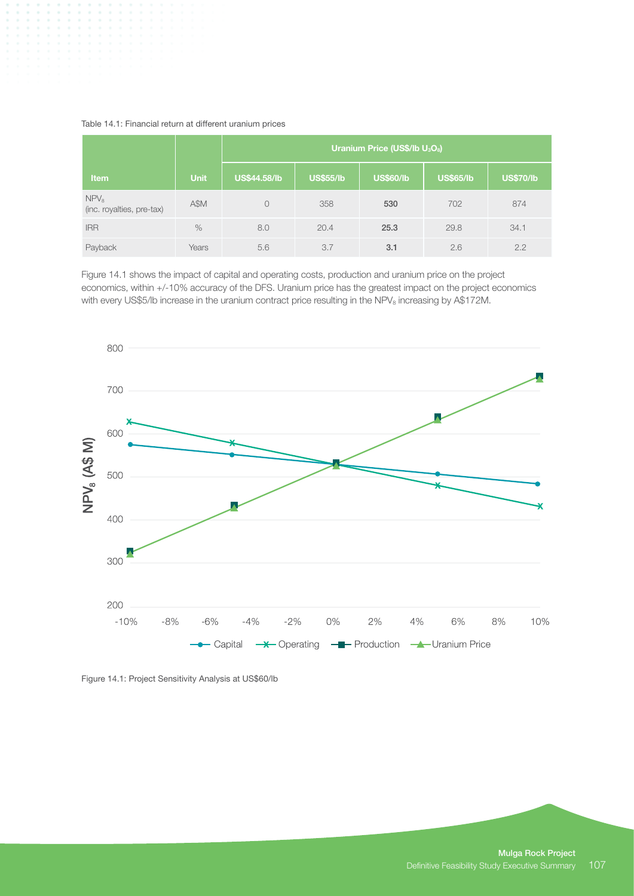| Table 14.1: Financial return at different uranium prices |  |  |  |  |
|----------------------------------------------------------|--|--|--|--|
|----------------------------------------------------------|--|--|--|--|

|                                               |             | Uranium Price (US\$/lb U <sub>3</sub> O <sub>8</sub> ) |                  |                  |           |                  |  |
|-----------------------------------------------|-------------|--------------------------------------------------------|------------------|------------------|-----------|------------------|--|
| <b>Item</b>                                   | <b>Unit</b> | <b>US\$44.58/lb</b>                                    | <b>US\$55/lb</b> | <b>US\$60/lb</b> | US\$65/lb | <b>US\$70/lb</b> |  |
| NPV <sub>8</sub><br>(inc. royalties, pre-tax) | A\$M        |                                                        | 358              | 530              | 702       | 874              |  |
| <b>IRR</b>                                    | $\%$        | 8.0                                                    | 20.4             | 25.3             | 29.8      | 34.1             |  |
| Payback                                       | Years       | 5.6                                                    | 3.7              | 3.1              | 2.6       | 2.2              |  |

Figure 14.1 shows the impact of capital and operating costs, production and uranium price on the project economics, within +/-10% accuracy of the DFS. Uranium price has the greatest impact on the project economics with every US\$5/lb increase in the uranium contract price resulting in the NPV<sub>8</sub> increasing by A\$172M.



Figure 14.1: Project Sensitivity Analysis at US\$60/lb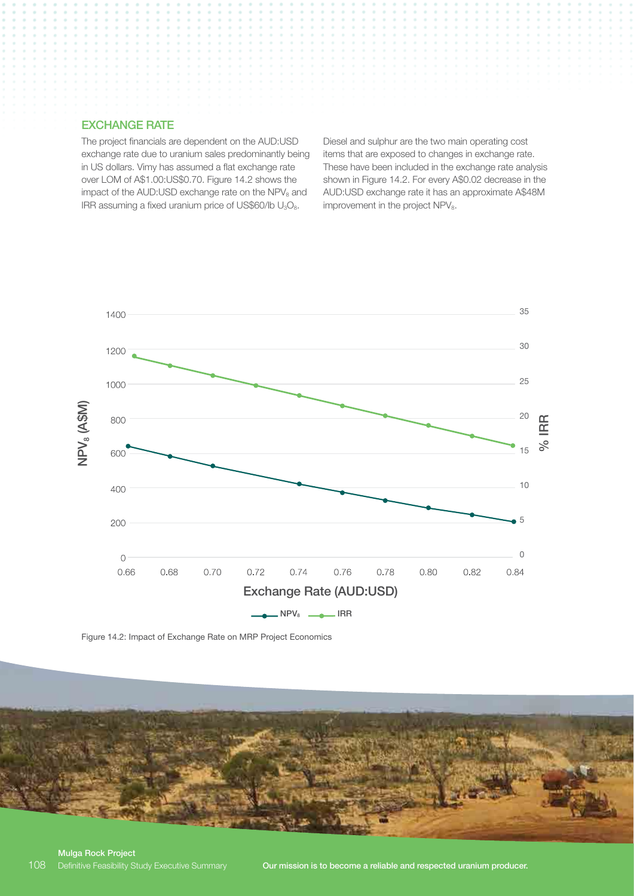#### EXCHANGE RATE

The project financials are dependent on the AUD:USD exchange rate due to uranium sales predominantly being in US dollars. Vimy has assumed a flat exchange rate over LOM of A\$1.00:US\$0.70. Figure 14.2 shows the impact of the AUD:USD exchange rate on the NPV<sub>8</sub> and IRR assuming a fixed uranium price of US\$60/lb  $U_3O_8$ .

Diesel and sulphur are the two main operating cost items that are exposed to changes in exchange rate. These have been included in the exchange rate analysis shown in Figure 14.2. For every A\$0.02 decrease in the AUD:USD exchange rate it has an approximate A\$48M improvement in the project  $NPV_8$ .



Figure 14.2: Impact of Exchange Rate on MRP Project Economics

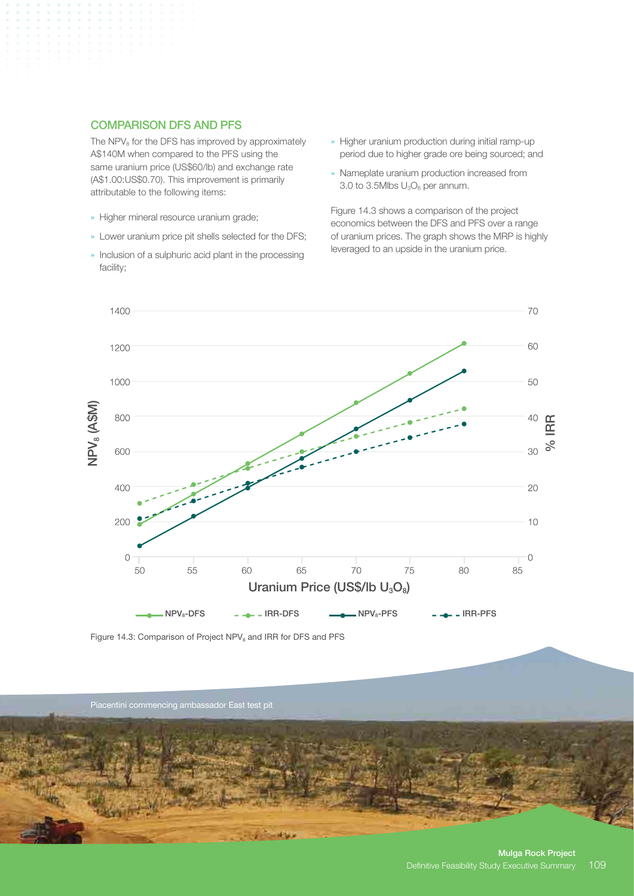## COMPARISON DFS AND PFS

The  $NPV_8$  for the DFS has improved by approximately A\$140M when compared to the PFS using the same uranium price (US\$60/lb) and exchange rate (A\$1.00:US\$0.70). This improvement is primarily attributable to the following items:

- » Higher mineral resource uranium grade;
- » Lower uranium price pit shells selected for the DFS;
- » Inclusion of a sulphuric acid plant in the processing facility;
- » Higher uranium production during initial ramp-up period due to higher grade ore being sourced; and
- » Nameplate uranium production increased from 3.0 to 3.5Mlbs  $U_3O_8$  per annum.

Figure 14.3 shows a comparison of the project economics between the DFS and PFS over a range of uranium prices. The graph shows the MRP is highly leveraged to an upside in the uranium price.



Figure 14.3: Comparison of Project NPV<sub>8</sub> and IRR for DFS and PFS